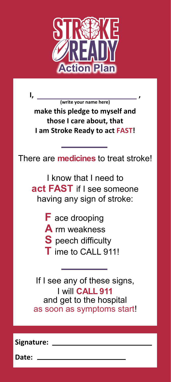

**I, , (write your name here)**

**make this pledge to myself and those I care about, that I am Stroke Ready to act FAST!**

There are **medicines** to treat stroke!

I know that I need to **act FAST** if I see someone having any sign of stroke:

- **F** ace drooping
- **A** rm weakness
- **S** peech difficulty
- **T** ime to CALL 911!

If I see any of these signs, I will **CALL 911** and get to the hospital as soon as symptoms start!

**Signature:** 

**Date:**